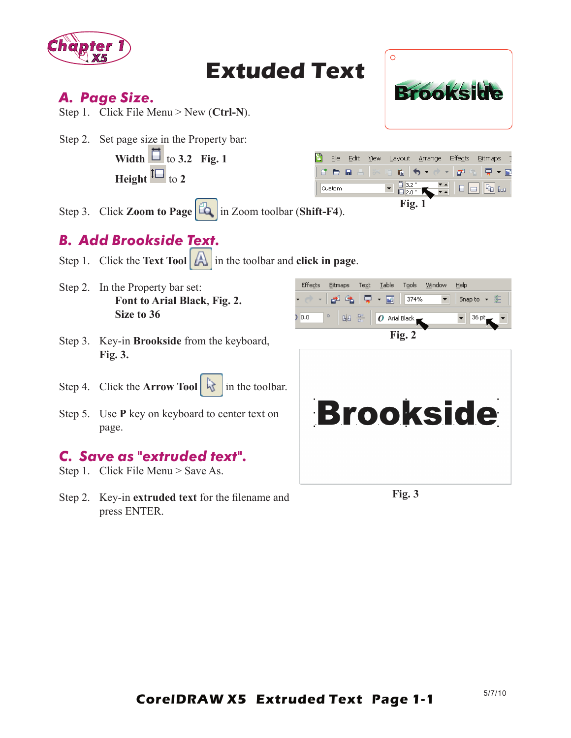

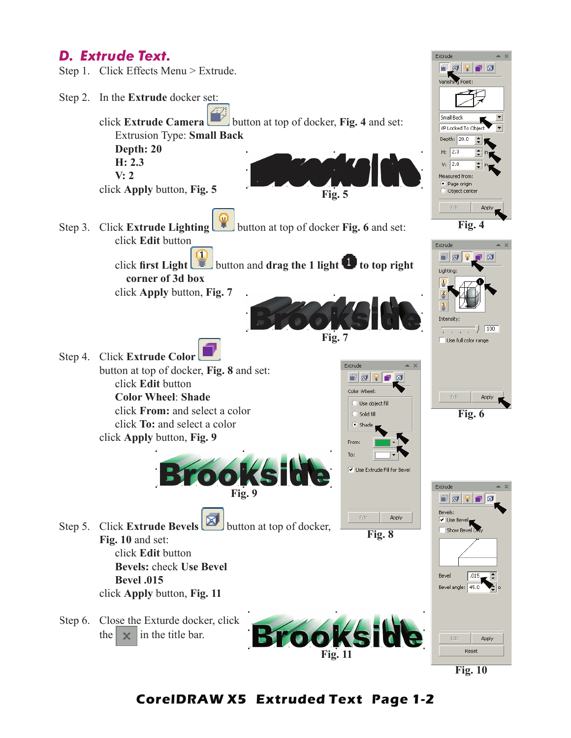## *D. Extrude Text.*



**Fig. 10**

#### **CorelDRAW X5 Extruded Text Page 1-2**